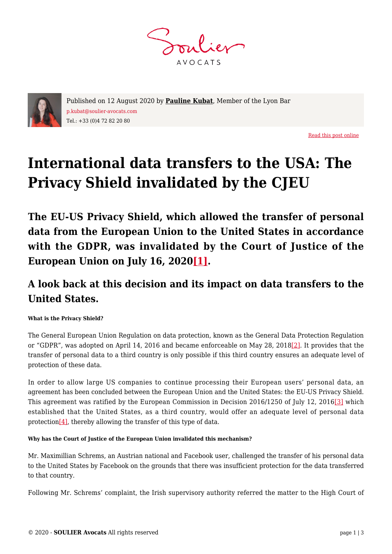**AVOCATS** 



Published on 12 August 2020 by **[Pauline Kubat](https://www.soulier-avocats.com/en/equipe/pauline-kubat-2/)**, Member of the Lyon Bar p.kubat@soulier-avocats.com Tel.: +33 (0)4 72 82 20 80

[Read this post online](https://www.soulier-avocats.com/en/international-data-transfers-to-the-usa-the-privacy-shield-invalidated-by-the-cjeu/)

# **International data transfers to the USA: The Privacy Shield invalidated by the CJEU**

**The EU-US Privacy Shield, which allowed the transfer of personal data from the European Union to the United States in accordance with the GDPR, was invalidated by the Court of Justice of the European Union on July 16, 202[0\[1\]](#page--1-0).**

## **A look back at this decision and its impact on data transfers to the United States.**

### **What is the Privacy Shield?**

The General European Union Regulation on data protection, known as the General Data Protection Regulation or "GDPR", was adopted on April 14, 2016 and became enforceable on May 28, 2018[\[2\].](#page--1-0) It provides that the transfer of personal data to a third country is only possible if this third country ensures an adequate level of protection of these data.

In order to allow large US companies to continue processing their European users' personal data, an agreement has been concluded between the European Union and the United States: the EU-US Privacy Shield. This agreement was ratified by the European Commission in Decision 2016/1250 of July 12, 2016[\[3\]](#page--1-0) which established that the United States, as a third country, would offer an adequate level of personal data protection[\[4\]](#page--1-0), thereby allowing the transfer of this type of data.

#### **Why has the Court of Justice of the European Union invalidated this mechanism?**

Mr. Maximillian Schrems, an Austrian national and Facebook user, challenged the transfer of his personal data to the United States by Facebook on the grounds that there was insufficient protection for the data transferred to that country.

Following Mr. Schrems' complaint, the Irish supervisory authority referred the matter to the High Court of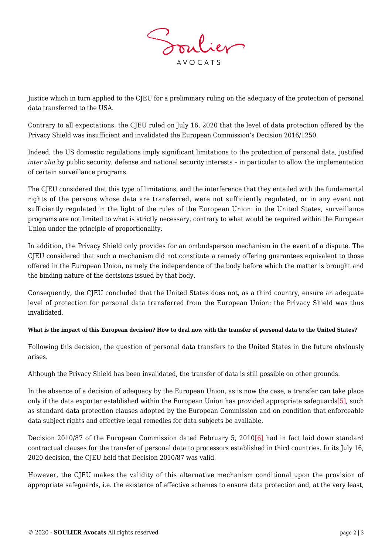

Justice which in turn applied to the CJEU for a preliminary ruling on the adequacy of the protection of personal data transferred to the USA.

Contrary to all expectations, the CJEU ruled on July 16, 2020 that the level of data protection offered by the Privacy Shield was insufficient and invalidated the European Commission's Decision 2016/1250.

Indeed, the US domestic regulations imply significant limitations to the protection of personal data, justified *inter alia* by public security, defense and national security interests – in particular to allow the implementation of certain surveillance programs.

The CJEU considered that this type of limitations, and the interference that they entailed with the fundamental rights of the persons whose data are transferred, were not sufficiently regulated, or in any event not sufficiently regulated in the light of the rules of the European Union: in the United States, surveillance programs are not limited to what is strictly necessary, contrary to what would be required within the European Union under the principle of proportionality.

In addition, the Privacy Shield only provides for an ombudsperson mechanism in the event of a dispute. The CJEU considered that such a mechanism did not constitute a remedy offering guarantees equivalent to those offered in the European Union, namely the independence of the body before which the matter is brought and the binding nature of the decisions issued by that body.

Consequently, the CJEU concluded that the United States does not, as a third country, ensure an adequate level of protection for personal data transferred from the European Union: the Privacy Shield was thus invalidated.

#### **What is the impact of this European decision? How to deal now with the transfer of personal data to the United States?**

Following this decision, the question of personal data transfers to the United States in the future obviously arises.

Although the Privacy Shield has been invalidated, the transfer of data is still possible on other grounds.

In the absence of a decision of adequacy by the European Union, as is now the case, a transfer can take place only if the data exporter established within the European Union has provided appropriate safeguards[\[5\]](#page--1-0), such as standard data protection clauses adopted by the European Commission and on condition that enforceable data subject rights and effective legal remedies for data subjects be available.

Decision 2010/87 of the European Commission dated February 5, 2010[\[6\]](#page--1-0) had in fact laid down standard contractual clauses for the transfer of personal data to processors established in third countries. In its July 16, 2020 decision, the CJEU held that Decision 2010/87 was valid.

However, the CJEU makes the validity of this alternative mechanism conditional upon the provision of appropriate safeguards, i.e. the existence of effective schemes to ensure data protection and, at the very least,